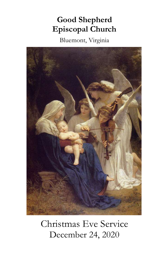# **Good Shepherd Episcopal Church**

Bluemont, Virginia



# Christmas Eve Service December 24, 2020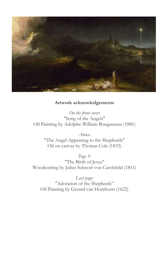

#### **Artwork acknowledgements**

*On the front cover:*  "Song of the Angels" Oil Painting by Adolphe-William Bouguereau (1881)

> *Above:*  "The Angel Appearing to the Shepherds" Oil on canvas by Thomas Cole (1833)

*Page 3:*  "The Birth of Jesus" Woodcutting by Julius Schnorr von Carolsfeld (1851)

*Last page:*  "Adoration of the Shepherds" Oil Painting by Gerard van Honthorst (1622)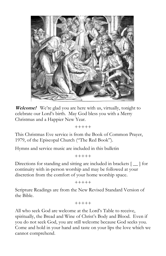

**Welcome!** We're glad you are here with us, virtually, tonight to celebrate our Lord's birth. May God bless you with a Merry Christmas and a Happier New Year.

 $+++++$ 

This Christmas Eve service is from the Book of Common Prayer, 1979, of the Episcopal Church ("The Red Book").

Hymns and service music are included in this bulletin

 $+++++$ 

Directions for standing and sitting are included in brackets [  $\Box$  ] for continuity with in-person worship and may be followed at your discretion from the comfort of your home worship space.

 $+++++$ 

Scripture Readings are from the New Revised Standard Version of the Bible.

 $+ + + + +$ 

All who seek God are welcome at the Lord's Table to receive, spiritually, the Bread and Wine of Christ's Body and Blood. Even if you do not seek God, you are still welcome because God seeks you. Come and hold in your hand and taste on your lips the love which we cannot comprehend.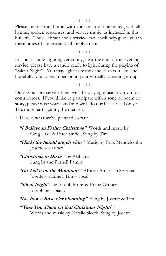Please join in from home, with your microphone muted, with all hymns, spoken responses, and service music, as included in this bulletin. The celebrant and a service leader will help guide you in these times of congregational involvement.

 $+ + + + +$ 

For our Candle Lighting ceremony, near the end of this evening's service, please have a candle ready to light during the playing of "Silent Night". You may light as many candles as you like, and hopefully one for each person in your virtually attending group.

+++++

During our pre-service time, we'll be playing music from various contributors. If you'd like to participate with a song or poem or story, please raise your hand and we'll do our best to call on you. The more participants, the merrier!

 $\sim$  Here is what we've planned so far  $\sim$ 

**"I Believe in Father Christmas"** Words and music by Greg Lake & Peter Sinfiel, Sung by Tim

- "Hark! the herald angels sing" Music by Felix Mendelssohn Josette – clarinet
- **"Christmas in Dixie"** by Alabama Sung by the Purnell Family
- **"Go Tell it on the Mountain"** African American Spiritual Josette – clarinet, Tim – vocal
- **"Silent Night"** by Joseph Mohr & Franz Gruber Josephine – piano
- **"Lo, how a Rose e'er blooming"** Sung by Josette & Tim
- **"Were You There on that Christmas Night?"** Words and music by Natalie Sleeth, Sung by Josette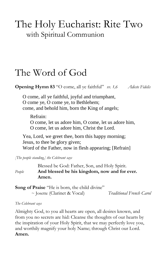# The Holy Eucharist: Rite Two with Spiritual Communion

# The Word of God

**Opening Hymn 83** "O come, all ye faithful" *vv. 1,6 Adeste Fidelis*

O come, all ye faithful, joyful and triumphant, O come ye, O come ye, to Bethlehem; come, and behold him, born the King of angels;

Refrain: O come, let us adore him, O come, let us adore him, O come, let us adore him, Christ the Lord.

Yea, Lord, we greet thee, born this happy morning; Jesus, to thee be glory given; Word of the Father, now in flesh appearing; [Refrain]

*[The people standing,] the Celebrant says*

Blessed be God: Father, Son, and Holy Spirit. *People* **And blessed be his kingdom, now and for ever. Amen.**

**Song of Praise** "He is born, the child divine" ~ Josette (Clarinet & Vocal) *Traditional French Carol*

*The Celebrant says*

Almighty God, to you all hearts are open, all desires known, and from you no secrets are hid: Cleanse the thoughts of our hearts by the inspiration of your Holy Spirit, that we may perfectly love you, and worthily magnify your holy Name; through Christ our Lord. **Amen.**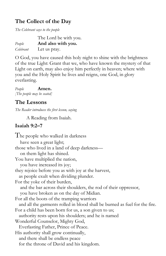## **The Collect of the Day**

*The Celebrant says to the people*

The Lord be with you. *People* **And also with you.** *Celebrant* Let us pray.

O God, you have caused this holy night to shine with the brightness of the true Light: Grant that we, who have known the mystery of that Light on earth, may also enjoy him perfectly in heaven; where with you and the Holy Spirit he lives and reigns, one God, in glory everlasting.

*People* **Amen.** *[The people may be seated]*

## **The Lessons**

*The Reader introduces the first lesson, saying*

A Reading from Isaiah.

### **Isaiah 9:2–7**

The people who walked in darkness have seen a great light; those who lived in a land of deep darkness on them light has shined. You have multiplied the nation, you have increased its joy; they rejoice before you as with joy at the harvest, as people exult when dividing plunder. For the yoke of their burden, and the bar across their shoulders, the rod of their oppressor, you have broken as on the day of Midian. For all the boots of the tramping warriors and all the garments rolled in blood shall be burned as fuel for the fire. For a child has been born for us, a son given to us; authority rests upon his shoulders; and he is named Wonderful Counselor, Mighty God, Everlasting Father, Prince of Peace. His authority shall grow continually, and there shall be endless peace for the throne of David and his kingdom.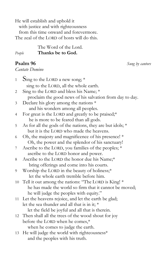He will establish and uphold it with justice and with righteousness from this time onward and forevermore. The zeal of the LORD of hosts will do this.

The Word of the Lord. *People* **Thanks be to God.**

*Cantate Domino*

1 Sing to the LORD a new song;  $*$  sing to the LORD, all the whole earth. 2 Sing to the LORD and bless his Name; \* proclaim the good news of his salvation from day to day. 3 Declare his glory among the nations \* and his wonders among all peoples. 4 For great is the LORD and greatly to be praised;\* he is more to be feared than all gods. 5 As for all the gods of the nations, they are but idols; \* but it is the LORD who made the heavens. 6 Oh, the majesty and magnificence of his presence! \* Oh, the power and the splendor of his sanctuary! 7 Ascribe to the LORD, you families of the peoples; \* ascribe to the LORD honor and power. 8 Ascribe to the LORD the honor due his Name;\* bring offerings and come into his courts. 9 Worship the LORD in the beauty of holiness;\* let the whole earth tremble before him. 10 Tell it out among the nations: "The LORD is King! \* he has made the world so firm that it cannot be moved; he will judge the peoples with equity." 11 Let the heavens rejoice, and let the earth be glad; let the sea thunder and all that is in it; \* let the field be joyful and all that is therein. 12 Then shall all the trees of the wood shout for joy before the LORD when he comes,\* when he comes to judge the earth. 13 He will judge the world with righteousness\* and the peoples with his truth.

**Psalm 96** *Sung by cantors*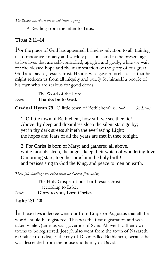*The Reader introduces the second lesson, saying*

A Reading from the letter to Titus.

## **Titus 2:11–14**

For the grace of God has appeared, bringing salvation to all, training us to renounce impiety and worldly passions, and in the present age to live lives that are self-controlled, upright, and godly, while we wait for the blessed hope and the manifestation of the glory of our great God and Savior, Jesus Christ. He it is who gave himself for us that he might redeem us from all iniquity and purify for himself a people of his own who are zealous for good deeds.

The Word of the Lord. *People* **Thanks be to God.**

**Gradual Hymn 79** "O little town of Bethlehem" *vv. 1–2 St. Louis*

1. O little town of Bethlehem, how still we see thee lie! Above thy deep and dreamless sleep the silent stars go by; yet in thy dark streets shineth the everlasting Light; the hopes and fears of all the years are met in thee tonight.

2. For Christ is born of Mary; and gathered all above, while mortals sleep, the angels keep their watch of wondering love. O morning stars, together proclaim the holy birth! and praises sing to God the King, and peace to men on earth.

*Then, [all standing,] the Priest reads the Gospel, first saying*

The Holy Gospel of our Lord Jesus Christ according to Luke. *People* **Glory to you, Lord Christ.**

#### **Luke 2:1–20**

In those days a decree went out from Emperor Augustus that all the world should be registered. This was the first registration and was taken while Quirinius was governor of Syria. All went to their own towns to be registered. Joseph also went from the town of Nazareth in Galilee to Judea, to the city of David called Bethlehem, because he was descended from the house and family of David.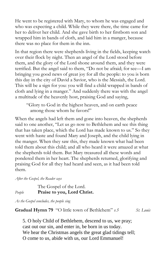He went to be registered with Mary, to whom he was engaged and who was expecting a child. While they were there, the time came for her to deliver her child. And she gave birth to her firstborn son and wrapped him in bands of cloth, and laid him in a manger, because there was no place for them in the inn.

In that region there were shepherds living in the fields, keeping watch over their flock by night. Then an angel of the Lord stood before them, and the glory of the Lord shone around them, and they were terrified. But the angel said to them, "Do not be afraid; for see—I am bringing you good news of great joy for all the people: to you is born this day in the city of David a Savior, who is the Messiah, the Lord. This will be a sign for you: you will find a child wrapped in bands of cloth and lying in a manger." And suddenly there was with the angel a multitude of the heavenly host, praising God and saying,

"Glory to God in the highest heaven, and on earth peace among those whom he favors!"

When the angels had left them and gone into heaven, the shepherds said to one another, "Let us go now to Bethlehem and see this thing that has taken place, which the Lord has made known to us." So they went with haste and found Mary and Joseph, and the child lying in the manger. When they saw this, they made known what had been told them about this child; and all who heard it were amazed at what the shepherds told them. But Mary treasured all these words and pondered them in her heart. The shepherds returned, glorifying and praising God for all they had heard and seen, as it had been told them.

*After the Gospel, the Reader says*

The Gospel of the Lord. *People* **Praise to you, Lord Christ.**

*As the Gospel concludes, the people sing*

**Gradual Hymn 79** "O little town of Bethlehem" *v.5 St. Louis*

5. O holy Child of Bethlehem, descend to us, we pray; cast out our sin, and enter in, be born in us today. We hear the Christmas angels the great glad tidings tell; O come to us, abide with us, our Lord Emmanuel!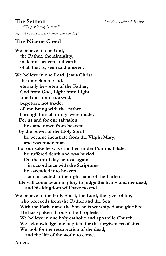**The Sermon** *The Rev. Deborah Rutter*

*[The people may be seated] After the Sermon, there follows, [all standing]*

### **The Nicene Creed**

**We believe in one God, the Father, the Almighty, maker of heaven and earth, of all that is, seen and unseen. We believe in one Lord, Jesus Christ, the only Son of God, eternally begotten of the Father, God from God, Light from Light, true God from true God, begotten, not made, of one Being with the Father. Through him all things were made. For us and for our salvation he came down from heaven: by the power of the Holy Spirit he became incarnate from the Virgin Mary, and was made man. For our sake he was crucified under Pontius Pilate; he suffered death and was buried. On the third day he rose again in accordance with the Scriptures; he ascended into heaven and is seated at the right hand of the Father. He will come again in glory to judge the living and the dead, and his kingdom will have no end. We believe in the Holy Spirit, the Lord, the giver of life, who proceeds from the Father and the Son. With the Father and the Son he is worshiped and glorified. He has spoken through the Prophets. We believe in one holy catholic and apostolic Church. We acknowledge one baptism for the forgiveness of sins. We look for the resurrection of the dead, and the life of the world to come.** 

**Amen.**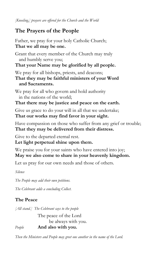*[Kneeling,] prayers are offered for the Church and the World*

# **The Prayers of the People**

Father, we pray for your holy Catholic Church; **That we all may be one.**

Grant that every member of the Church may truly and humbly serve you;

#### **That your Name may be glorified by all people.**

We pray for all bishops, priests, and deacons;

#### **That they may be faithful ministers of your Word and Sacraments.**

We pray for all who govern and hold authority in the nations of the world;

#### **That there may be justice and peace on the earth.**

Give us grace to do your will in all that we undertake; **That our works may find favor in your sight.**

Have compassion on those who suffer from any grief or trouble; **That they may be delivered from their distress.**

Give to the departed eternal rest.

**Let light perpetual shine upon them.**

We praise you for your saints who have entered into joy; **May we also come to share in your heavenly kingdom.**

Let us pray for our own needs and those of others.

*Silence*

*The People may add their own petitions.*

*The Celebrant adds a concluding Collect.*

## **The Peace**

*[All stand.] The Celebrant says to the people*

The peace of the Lord be always with you. *People* **And also with you.**

*Then the Ministers and People may greet one another in the name of the Lord.*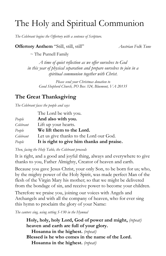# The Holy and Spiritual Communion

*The Celebrant begins the Offertory with a sentence of Scripture.*

**Offertory Anthem** "Still, still, still" *Austrian Folk Tune*

 $\sim$  The Purnell Family

*A time of quiet reflection as we offer ourselves to God in this year of physical separation and prepare ourselves to join in a spiritual communion together with Christ.*

> *Please send your Christmas donation to Good Shepherd Church, PO Box 324, Bluemont, VA 20135*

### **The Great Thanksgiving**

*The Celebrant faces the people and says*

|           | The Lord be with you.                      |
|-----------|--------------------------------------------|
| People    | And also with you.                         |
| Celebrant | Lift up your hearts.                       |
| People    | We lift them to the Lord.                  |
| Celebrant | Let us give thanks to the Lord our God.    |
| People    | It is right to give him thanks and praise. |

*Then, facing the Holy Table, the Celebrant proceeds*

It is right, and a good and joyful thing, always and everywhere to give thanks to you, Father Almighty, Creator of heaven and earth.

Because you gave Jesus Christ, your only Son, to be born for us; who, by the mighty power of the Holy Spirit, was made perfect Man of the flesh of the Virgin Mary his mother; so that we might be delivered from the bondage of sin, and receive power to become your children.

Therefore we praise you, joining our voices with Angels and Archangels and with all the company of heaven, who for ever sing this hymn to proclaim the glory of your Name:

*The cantors sing, using setting S-130 in the Hymnal*

**Holy, holy, holy Lord, God of power and might,** *(repeat)* **heaven and earth are full of your glory. Hosanna in the highest.** *(repeat)* **Blessed is he who comes in the name of the Lord. Hosanna in the highest.** *(repeat)*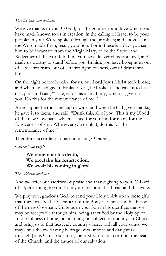#### *Then the Celebrant continues*

We give thanks to you, O God, for the goodness and love which you have made known to us in creation; in the calling of Israel to be your people; in your Word spoken through the prophets; and above all in the Word made flesh, Jesus, your Son. For in these last days you sent him to be incarnate from the Virgin Mary, to be the Savior and Redeemer of the world. In him, you have delivered us from evil, and made us worthy to stand before you. In him, you have brought us out of error into truth, out of sin into righteousness, out of death into life.

On the night before he died for us, our Lord Jesus Christ took bread; and when he had given thanks to you, he broke it, and gave it to his disciples, and said, "Take, eat: This is my Body, which is given for you. Do this for the remembrance of me."

After supper he took the cup of wine; and when he had given thanks, he gave it to them, and said, "Drink this, all of you: This is my Blood of the new Covenant, which is shed for you and for many for the forgiveness of sins. Whenever you drink it, do this for the remembrance of me"

Therefore, according to his command, O Father,

*Celebrant and People*

**We remember his death, We proclaim his resurrection, We await his coming in glory;**

#### *The Celebrant continues*

And we offer our sacrifice of praise and thanksgiving to you, O Lord of all; presenting to you, from your creation, this bread and this wine.

We pray you, gracious God, to send your Holy Spirit upon these gifts that they may be the Sacrament of the Body of Christ and his Blood of the new Covenant. Unite us to your Son in his sacrifice, that we may be acceptable through him, being sanctified by the Holy Spirit. In the fullness of time, put all things in subjection under your Christ, and bring us to that heavenly country where, with all your saints, we may enter the everlasting heritage of your sons and daughters; through Jesus Christ our Lord, the firstborn of all creation, the head of the Church, and the author of our salvation.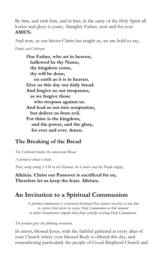By him, and with him, and in him, in the unity of the Holy Spirit all honor and glory is yours, Almighty Father, now and for ever. **AMEN.**

And now, as our Savior Christ has taught us, we are bold to say,

*People and Celebrant*

**Our Father, who art in heaven, hallowed be thy Name, thy kingdom come, thy will be done, on earth as it is in heaven. Give us this day our daily bread. And forgive us our trespasses, as we forgive those who trespass against us. And lead us not into temptation, but deliver us from evil. For thine is the kingdom, and the power, and the glory, for ever and ever. Amen.**

# **The Breaking of the Bread**

*The Celebrant breaks the consecrated Bread.*

*A period of silence is kept.*

*Then, using setting S-154 in the Hymnal, the Cantors lead the People singing*

**Alleluia. Christ our Passover is sacrificed for us; Therefore let us keep the feast. Alleluia.**

# **An Invitation to a Spiritual Communion**

*A spiritual communion is a personal devotional that anyone can pray at any time to express their desire to receive Holy Communion at that moment in which circumstances impede them from actually receiving Holy Communion.*

*The presider gives the following invitation.*

In union, blessed Jesus, with the faithful gathered at every altar of your Church where your blessed Body is offered this day, and remembering particularly the people of Good Shepherd Church and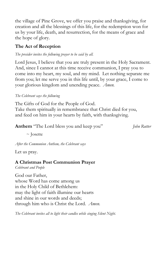the village of Pine Grove, we offer you praise and thanksgiving, for creation and all the blessings of this life, for the redemption won for us by your life, death, and resurrection, for the means of grace and the hope of glory.

## **The Act of Reception**

#### *The presider invites the following prayer to be said by all.*

Lord Jesus, I believe that you are truly present in the Holy Sacrament. And, since I cannot at this time receive communion, I pray you to come into my heart, my soul, and my mind. Let nothing separate me from you; let me serve you in this life until, by your grace, I come to your glorious kingdom and unending peace. *Amen.*

#### *The Celebrant says the following*

The Gifts of God for the People of God. Take them spiritually in remembrance that Christ died for you, and feed on him in your hearts by faith, with thanksgiving.

**Anthem** "The Lord bless you and keep you" *John Rutter*

 $\sim$  Josette

*After the Communion Anthem, the Celebrant says*

Let us pray.

#### **A Christmas Post Communion Prayer**

*Celebrant and People*

God our Father, whose Word has come among us in the Holy Child of Bethlehem: may the light of faith illumine our hearts and shine in our words and deeds; through him who is Christ the Lord. *Amen.*

*The Celebrant invites all to light their candles while singing Silent Night.*